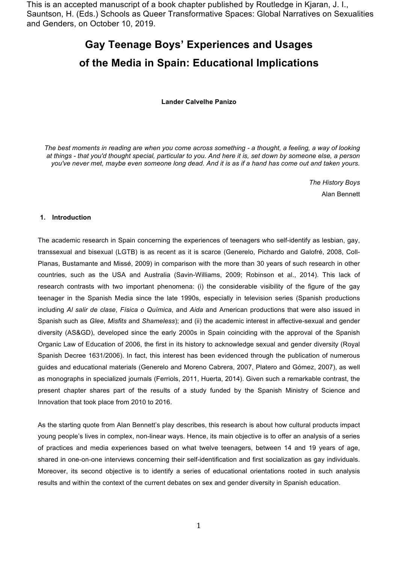This is an accepted manuscript of a book chapter published by Routledge in Kjaran, J. I., Sauntson, H. (Eds.) Schools as Queer Transformative Spaces: Global Narratives on Sexualities and Genders, on October 10, 2019.

# **Gay Teenage Boys' Experiences and Usages of the Media in Spain: Educational Implications**

#### **Lander Calvelhe Panizo**

*The best moments in reading are when you come across something - a thought, a feeling, a way of looking at things - that you'd thought special, particular to you. And here it is, set down by someone else, a person you've never met, maybe even someone long dead. And it is as if a hand has come out and taken yours.*

> *The History Boys* Alan Bennett

# **1. Introduction**

The academic research in Spain concerning the experiences of teenagers who self-identify as lesbian, gay, transsexual and bisexual (LGTB) is as recent as it is scarce (Generelo, Pichardo and Galofré, 2008, Coll-Planas, Bustamante and Missé, 2009) in comparison with the more than 30 years of such research in other countries, such as the USA and Australia (Savin-Williams, 2009; Robinson et al., 2014). This lack of research contrasts with two important phenomena: (i) the considerable visibility of the figure of the gay teenager in the Spanish Media since the late 1990s, especially in television series (Spanish productions including *Al salir de clase*, *Física o Química*, and *Aida* and American productions that were also issued in Spanish such as *Glee*, *Misfits* and *Shameless*); and (ii) the academic interest in affective-sexual and gender diversity (AS&GD), developed since the early 2000s in Spain coinciding with the approval of the Spanish Organic Law of Education of 2006, the first in its history to acknowledge sexual and gender diversity (Royal Spanish Decree 1631/2006). In fact, this interest has been evidenced through the publication of numerous guides and educational materials (Generelo and Moreno Cabrera, 2007, Platero and Gómez, 2007), as well as monographs in specialized journals (Ferriols, 2011, Huerta, 2014). Given such a remarkable contrast, the present chapter shares part of the results of a study funded by the Spanish Ministry of Science and Innovation that took place from 2010 to 2016.

As the starting quote from Alan Bennett's play describes, this research is about how cultural products impact young people's lives in complex, non-linear ways. Hence, its main objective is to offer an analysis of a series of practices and media experiences based on what twelve teenagers, between 14 and 19 years of age, shared in one-on-one interviews concerning their self-identification and first socialization as gay individuals. Moreover, its second objective is to identify a series of educational orientations rooted in such analysis results and within the context of the current debates on sex and gender diversity in Spanish education.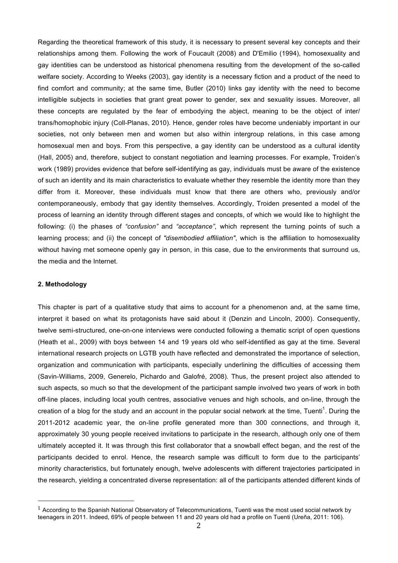Regarding the theoretical framework of this study, it is necessary to present several key concepts and their relationships among them. Following the work of Foucault (2008) and D'Emilio (1994), homosexuality and gay identities can be understood as historical phenomena resulting from the development of the so-called welfare society. According to Weeks (2003), gay identity is a necessary fiction and a product of the need to find comfort and community; at the same time, Butler (2010) links gay identity with the need to become intelligible subjects in societies that grant great power to gender, sex and sexuality issues. Moreover, all these concepts are regulated by the fear of embodying the abject, meaning to be the object of inter/ trans/homophobic injury (Coll-Planas, 2010). Hence, gender roles have become undeniably important in our societies, not only between men and women but also within intergroup relations, in this case among homosexual men and boys. From this perspective, a gay identity can be understood as a cultural identity (Hall, 2005) and, therefore, subject to constant negotiation and learning processes. For example, Troiden's work (1989) provides evidence that before self-identifying as gay, individuals must be aware of the existence of such an identity and its main characteristics to evaluate whether they resemble the identity more than they differ from it. Moreover, these individuals must know that there are others who, previously and/or contemporaneously, embody that gay identity themselves. Accordingly, Troiden presented a model of the process of learning an identity through different stages and concepts, of which we would like to highlight the following: (i) the phases of *"confusion"* and *"acceptance"*, which represent the turning points of such a learning process; and (ii) the concept of *"disembodied affiliation"*, which is the affiliation to homosexuality without having met someone openly gay in person, in this case, due to the environments that surround us, the media and the Internet.

# **2. Methodology**

 

This chapter is part of a qualitative study that aims to account for a phenomenon and, at the same time, interpret it based on what its protagonists have said about it (Denzin and Lincoln, 2000). Consequently, twelve semi-structured, one-on-one interviews were conducted following a thematic script of open questions (Heath et al., 2009) with boys between 14 and 19 years old who self-identified as gay at the time. Several international research projects on LGTB youth have reflected and demonstrated the importance of selection, organization and communication with participants, especially underlining the difficulties of accessing them (Savin-Williams, 2009, Generelo, Pichardo and Galofré, 2008). Thus, the present project also attended to such aspects, so much so that the development of the participant sample involved two years of work in both off-line places, including local youth centres, associative venues and high schools, and on-line, through the creation of a blog for the study and an account in the popular social network at the time, Tuenti<sup>1</sup>. During the 2011-2012 academic year, the on-line profile generated more than 300 connections, and through it, approximately 30 young people received invitations to participate in the research, although only one of them ultimately accepted it. It was through this first collaborator that a snowball effect began, and the rest of the participants decided to enrol. Hence, the research sample was difficult to form due to the participants' minority characteristics, but fortunately enough, twelve adolescents with different trajectories participated in the research, yielding a concentrated diverse representation: all of the participants attended different kinds of

 $1$  According to the Spanish National Observatory of Telecommunications, Tuenti was the most used social network by teenagers in 2011. Indeed, 69% of people between 11 and 20 years old had a profile on Tuenti (Ureña, 2011: 106).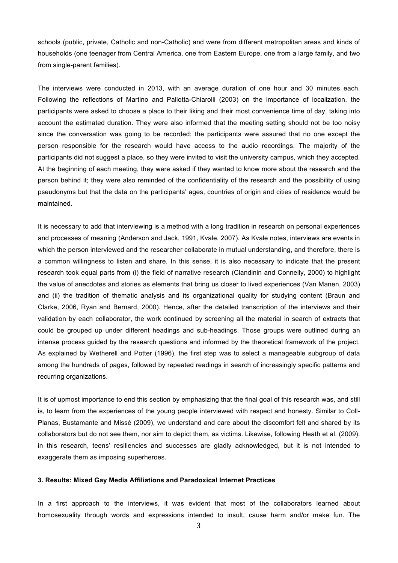schools (public, private, Catholic and non-Catholic) and were from different metropolitan areas and kinds of households (one teenager from Central America, one from Eastern Europe, one from a large family, and two from single-parent families).

The interviews were conducted in 2013, with an average duration of one hour and 30 minutes each. Following the reflections of Martino and Pallotta-Chiarolli (2003) on the importance of localization, the participants were asked to choose a place to their liking and their most convenience time of day, taking into account the estimated duration. They were also informed that the meeting setting should not be too noisy since the conversation was going to be recorded; the participants were assured that no one except the person responsible for the research would have access to the audio recordings. The majority of the participants did not suggest a place, so they were invited to visit the university campus, which they accepted. At the beginning of each meeting, they were asked if they wanted to know more about the research and the person behind it; they were also reminded of the confidentiality of the research and the possibility of using pseudonyms but that the data on the participants' ages, countries of origin and cities of residence would be maintained.

It is necessary to add that interviewing is a method with a long tradition in research on personal experiences and processes of meaning (Anderson and Jack, 1991, Kvale, 2007). As Kvale notes, interviews are events in which the person interviewed and the researcher collaborate in mutual understanding, and therefore, there is a common willingness to listen and share. In this sense, it is also necessary to indicate that the present research took equal parts from (i) the field of narrative research (Clandinin and Connelly, 2000) to highlight the value of anecdotes and stories as elements that bring us closer to lived experiences (Van Manen, 2003) and (ii) the tradition of thematic analysis and its organizational quality for studying content (Braun and Clarke, 2006, Ryan and Bernard, 2000). Hence, after the detailed transcription of the interviews and their validation by each collaborator, the work continued by screening all the material in search of extracts that could be grouped up under different headings and sub-headings. Those groups were outlined during an intense process guided by the research questions and informed by the theoretical framework of the project. As explained by Wetherell and Potter (1996), the first step was to select a manageable subgroup of data among the hundreds of pages, followed by repeated readings in search of increasingly specific patterns and recurring organizations.

It is of upmost importance to end this section by emphasizing that the final goal of this research was, and still is, to learn from the experiences of the young people interviewed with respect and honesty. Similar to Coll-Planas, Bustamante and Missé (2009), we understand and care about the discomfort felt and shared by its collaborators but do not see them, nor aim to depict them, as victims. Likewise, following Heath et al. (2009), in this research, teens' resiliencies and successes are gladly acknowledged, but it is not intended to exaggerate them as imposing superheroes.

#### **3. Results: Mixed Gay Media Affiliations and Paradoxical Internet Practices**

In a first approach to the interviews, it was evident that most of the collaborators learned about homosexuality through words and expressions intended to insult, cause harm and/or make fun. The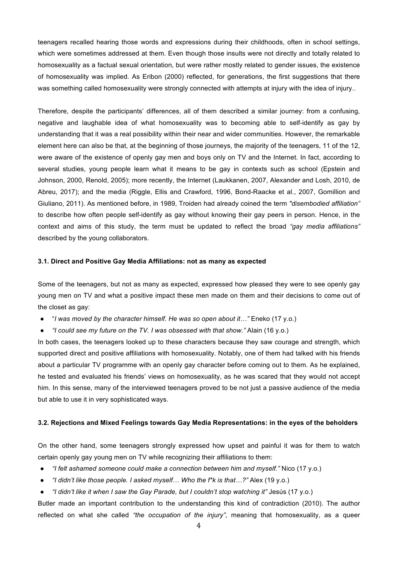teenagers recalled hearing those words and expressions during their childhoods, often in school settings, which were sometimes addressed at them. Even though those insults were not directly and totally related to homosexuality as a factual sexual orientation, but were rather mostly related to gender issues, the existence of homosexuality was implied*.* As Eribon (2000) reflected, for generations, the first suggestions that there was something called homosexuality were strongly connected with attempts at injury with the idea of injury..

Therefore, despite the participants' differences, all of them described a similar journey: from a confusing, negative and laughable idea of what homosexuality was to becoming able to self-identify as gay by understanding that it was a real possibility within their near and wider communities. However, the remarkable element here can also be that, at the beginning of those journeys, the majority of the teenagers, 11 of the 12, were aware of the existence of openly gay men and boys only on TV and the Internet. In fact, according to several studies, young people learn what it means to be gay in contexts such as school (Epstein and Johnson, 2000, Renold, 2005); more recently, the Internet (Laukkanen, 2007, Alexander and Losh, 2010, de Abreu, 2017); and the media (Riggle, Ellis and Crawford, 1996, Bond-Raacke et al., 2007, Gomillion and Giuliano, 2011). As mentioned before, in 1989, Troiden had already coined the term *"disembodied affiliation"* to describe how often people self-identify as gay without knowing their gay peers in person. Hence, in the context and aims of this study, the term must be updated to reflect the broad *"gay media affiliations"* described by the young collaborators.

## **3.1. Direct and Positive Gay Media Affiliations: not as many as expected**

Some of the teenagers, but not as many as expected, expressed how pleased they were to see openly gay young men on TV and what a positive impact these men made on them and their decisions to come out of the closet as gay:

- "*I was moved by the character himself. He was so open about it…"* Eneko (17 y.o.)
- *"I could see my future on the TV. I was obsessed with that show."* Alain (16 y.o.)

In both cases, the teenagers looked up to these characters because they saw courage and strength, which supported direct and positive affiliations with homosexuality. Notably, one of them had talked with his friends about a particular TV programme with an openly gay character before coming out to them. As he explained, he tested and evaluated his friends' views on homosexuality, as he was scared that they would not accept him. In this sense, many of the interviewed teenagers proved to be not just a passive audience of the media but able to use it in very sophisticated ways.

## **3.2. Rejections and Mixed Feelings towards Gay Media Representations: in the eyes of the beholders**

On the other hand, some teenagers strongly expressed how upset and painful it was for them to watch certain openly gay young men on TV while recognizing their affiliations to them:

- *"I felt ashamed someone could make a connection between him and myself."* Nico (17 y.o.)
- *"I didn't like those people. I asked myself… Who the f\*k is that…?"* Alex (19 y.o.)
- *"I didn't like it when I saw the Gay Parade, but I couldn't stop watching it"* Jesús (17 y.o.)

Butler made an important contribution to the understanding this kind of contradiction (2010). The author reflected on what she called *"the occupation of the injury"*, meaning that homosexuality, as a queer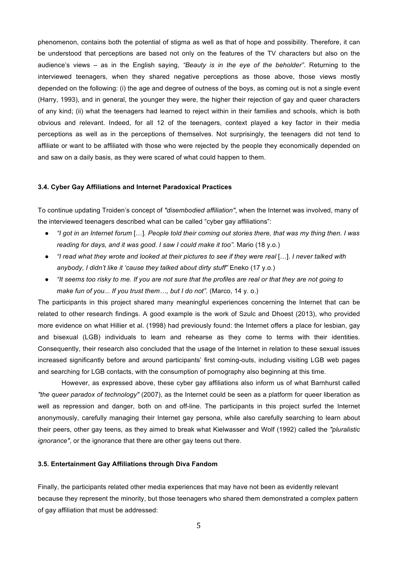phenomenon, contains both the potential of stigma as well as that of hope and possibility. Therefore, it can be understood that perceptions are based not only on the features of the TV characters but also on the audience's views – as in the English saying, *"Beauty is in the eye of the beholder"*. Returning to the interviewed teenagers, when they shared negative perceptions as those above, those views mostly depended on the following: (i) the age and degree of outness of the boys, as coming out is not a single event (Harry, 1993), and in general, the younger they were, the higher their rejection of gay and queer characters of any kind; (ii) what the teenagers had learned to reject within in their families and schools, which is both obvious and relevant. Indeed, for all 12 of the teenagers, context played a key factor in their media perceptions as well as in the perceptions of themselves. Not surprisingly, the teenagers did not tend to affiliate or want to be affiliated with those who were rejected by the people they economically depended on and saw on a daily basis, as they were scared of what could happen to them.

## **3.4. Cyber Gay Affiliations and Internet Paradoxical Practices**

To continue updating Troiden's concept of *"disembodied affiliation"*, when the Internet was involved, many of the interviewed teenagers described what can be called "cyber gay affiliations":

- *"I got in an Internet forum* […]*. People told their coming out stories there, that was my thing then. I was reading for days, and it was good. I saw I could make it too".* Mario (18 y.o.)
- *"I read what they wrote and looked at their pictures to see if they were real* […]. *I never talked with anybody, I didn't like it 'cause they talked about dirty stuff"* Eneko (17 y.o.)
- *"It seems too risky to me. If you are not sure that the profiles are real or that they are not going to make fun of you... If you trust them…, but I do not".* (Marco, 14 y. o.)

The participants in this project shared many meaningful experiences concerning the Internet that can be related to other research findings. A good example is the work of Szulc and Dhoest (2013), who provided more evidence on what Hillier et al. (1998) had previously found: the Internet offers a place for lesbian, gay and bisexual (LGB) individuals to learn and rehearse as they come to terms with their identities. Consequently, their research also concluded that the usage of the Internet in relation to these sexual issues increased significantly before and around participants' first coming-outs, including visiting LGB web pages and searching for LGB contacts, with the consumption of pornography also beginning at this time.

However, as expressed above, these cyber gay affiliations also inform us of what Barnhurst called *"the queer paradox of technology"* (2007), as the Internet could be seen as a platform for queer liberation as well as repression and danger, both on and off-line. The participants in this project surfed the Internet anonymously, carefully managing their Internet gay persona, while also carefully searching to learn about their peers, other gay teens, as they aimed to break what Kielwasser and Wolf (1992) called the *"pluralistic ignorance"*, or the ignorance that there are other gay teens out there.

#### **3.5. Entertainment Gay Affiliations through Diva Fandom**

Finally, the participants related other media experiences that may have not been as evidently relevant because they represent the minority, but those teenagers who shared them demonstrated a complex pattern of gay affiliation that must be addressed: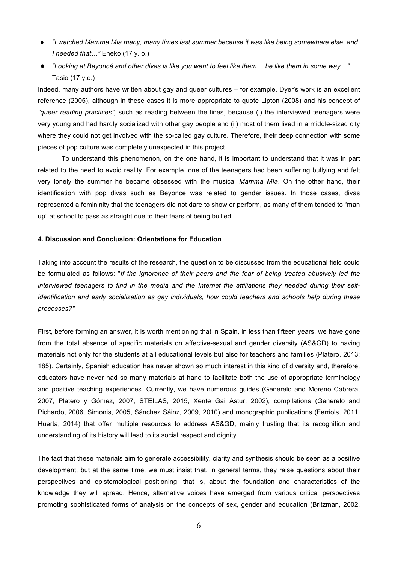- *"I watched Mamma Mia many, many times last summer because it was like being somewhere else, and I needed that…"* Eneko (17 y. o.)
- *"Looking at Beyoncé and other divas is like you want to feel like them… be like them in some way…"*  Tasio (17 y.o.)

Indeed, many authors have written about gay and queer cultures – for example, Dyer's work is an excellent reference (2005), although in these cases it is more appropriate to quote Lipton (2008) and his concept of *"queer reading practices",* such as reading between the lines, because (i) the interviewed teenagers were very young and had hardly socialized with other gay people and (ii) most of them lived in a middle-sized city where they could not get involved with the so-called gay culture. Therefore, their deep connection with some pieces of pop culture was completely unexpected in this project.

To understand this phenomenon, on the one hand, it is important to understand that it was in part related to the need to avoid reality. For example, one of the teenagers had been suffering bullying and felt very lonely the summer he became obsessed with the musical *Mamma Mía*. On the other hand, their identification with pop divas such as Beyonce was related to gender issues. In those cases, divas represented a femininity that the teenagers did not dare to show or perform, as many of them tended to "man up" at school to pass as straight due to their fears of being bullied.

# **4. Discussion and Conclusion: Orientations for Education**

Taking into account the results of the research, the question to be discussed from the educational field could be formulated as follows: "*If the ignorance of their peers and the fear of being treated abusively led the interviewed teenagers to find in the media and the Internet the affiliations they needed during their selfidentification and early socialization as gay individuals, how could teachers and schools help during these processes?"*

First, before forming an answer, it is worth mentioning that in Spain, in less than fifteen years, we have gone from the total absence of specific materials on affective-sexual and gender diversity (AS&GD) to having materials not only for the students at all educational levels but also for teachers and families (Platero, 2013: 185). Certainly, Spanish education has never shown so much interest in this kind of diversity and, therefore, educators have never had so many materials at hand to facilitate both the use of appropriate terminology and positive teaching experiences. Currently, we have numerous guides (Generelo and Moreno Cabrera, 2007, Platero y Gómez, 2007, STEILAS, 2015, Xente Gai Astur, 2002), compilations (Generelo and Pichardo, 2006, Simonis, 2005, Sánchez Sáinz, 2009, 2010) and monographic publications (Ferriols, 2011, Huerta, 2014) that offer multiple resources to address AS&GD, mainly trusting that its recognition and understanding of its history will lead to its social respect and dignity.

The fact that these materials aim to generate accessibility, clarity and synthesis should be seen as a positive development, but at the same time, we must insist that, in general terms, they raise questions about their perspectives and epistemological positioning, that is, about the foundation and characteristics of the knowledge they will spread. Hence, alternative voices have emerged from various critical perspectives promoting sophisticated forms of analysis on the concepts of sex, gender and education (Britzman, 2002,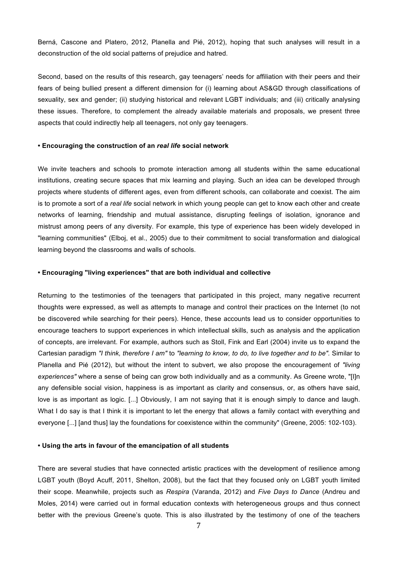Berná, Cascone and Platero, 2012, Planella and Pié, 2012), hoping that such analyses will result in a deconstruction of the old social patterns of prejudice and hatred.

Second, based on the results of this research, gay teenagers' needs for affiliation with their peers and their fears of being bullied present a different dimension for (i) learning about AS&GD through classifications of sexuality, sex and gender; (ii) studying historical and relevant LGBT individuals; and (iii) critically analysing these issues. Therefore, to complement the already available materials and proposals, we present three aspects that could indirectly help all teenagers, not only gay teenagers.

#### **• Encouraging the construction of an** *real life* **social network**

We invite teachers and schools to promote interaction among all students within the same educational institutions, creating secure spaces that mix learning and playing. Such an idea can be developed through projects where students of different ages, even from different schools, can collaborate and coexist. The aim is to promote a sort of a *real life* social network in which young people can get to know each other and create networks of learning, friendship and mutual assistance, disrupting feelings of isolation, ignorance and mistrust among peers of any diversity. For example, this type of experience has been widely developed in "learning communities" (Elboj, et al., 2005) due to their commitment to social transformation and dialogical learning beyond the classrooms and walls of schools.

#### **• Encouraging "living experiences" that are both individual and collective**

Returning to the testimonies of the teenagers that participated in this project, many negative recurrent thoughts were expressed, as well as attempts to manage and control their practices on the Internet (to not be discovered while searching for their peers). Hence, these accounts lead us to consider opportunities to encourage teachers to support experiences in which intellectual skills, such as analysis and the application of concepts, are irrelevant. For example, authors such as Stoll, Fink and Earl (2004) invite us to expand the Cartesian paradigm *"I think, therefore I am"* to *"learning to know, to do, to live together and to be".* Similar to Planella and Pié (2012), but without the intent to subvert, we also propose the encouragement of *"living experiences"* where a sense of being can grow both individually and as a community. As Greene wrote, "[I]n any defensible social vision, happiness is as important as clarity and consensus, or, as others have said, love is as important as logic. [...] Obviously, I am not saying that it is enough simply to dance and laugh. What I do say is that I think it is important to let the energy that allows a family contact with everything and everyone [...] [and thus] lay the foundations for coexistence within the community" (Greene, 2005: 102-103).

#### **• Using the arts in favour of the emancipation of all students**

There are several studies that have connected artistic practices with the development of resilience among LGBT youth (Boyd Acuff, 2011, Shelton, 2008), but the fact that they focused only on LGBT youth limited their scope. Meanwhile, projects such as *Respira* (Varanda, 2012) and *Five Days to Dance* (Andreu and Moles, 2014) were carried out in formal education contexts with heterogeneous groups and thus connect better with the previous Greene's quote. This is also illustrated by the testimony of one of the teachers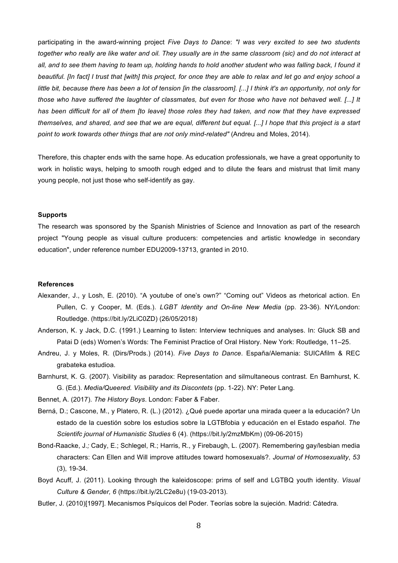participating in the award-winning project *Five Days to Dance*: *"I was very excited to see two students together who really are like water and oil. They usually are in the same classroom (sic) and do not interact at all, and to see them having to team up, holding hands to hold another student who was falling back, I found it beautiful. [In fact] I trust that [with] this project, for once they are able to relax and let go and enjoy school a little bit, because there has been a lot of tension [in the classroom]. [...] I think it's an opportunity, not only for those who have suffered the laughter of classmates, but even for those who have not behaved well. [...] It has been difficult for all of them [to leave] those roles they had taken, and now that they have expressed themselves, and shared, and see that we are equal, different but equal. [...] I hope that this project is a start point to work towards other things that are not only mind-related"* (Andreu and Moles, 2014).

Therefore, this chapter ends with the same hope. As education professionals, we have a great opportunity to work in holistic ways, helping to smooth rough edged and to dilute the fears and mistrust that limit many young people, not just those who self-identify as gay.

## **Supports**

The research was sponsored by the Spanish Ministries of Science and Innovation as part of the research project "Young people as visual culture producers: competencies and artistic knowledge in secondary education", under reference number EDU2009-13713, granted in 2010.

#### **References**

- Alexander, J., y Losh, E. (2010). "A youtube of one's own?" "Coming out" Videos as rhetorical action. En Pullen, C. y Cooper, M. (Eds.). *LGBT Identity and On-line New Media* (pp. 23-36). NY/London: Routledge. (https://bit.ly/2LiC0ZD) (26/05/2018)
- Anderson, K. y Jack, D.C. (1991.) Learning to listen: Interview techniques and analyses. In: Gluck SB and Patai D (eds) Women's Words: The Feminist Practice of Oral History. New York: Routledge, 11–25.
- Andreu, J. y Moles, R. (Dirs/Prods.) (2014). *Five Days to Dance*. España/Alemania: SUICAfilm & REC grabateka estudioa.
- Barnhurst, K. G. (2007). Visibility as paradox: Representation and silmultaneous contrast. En Barnhurst, K. G. (Ed.). *Media/Queered. Visibility and its Discontets* (pp. 1-22). NY: Peter Lang.

Bennet, A. (2017). *The History Boys*. London: Faber & Faber.

- Berná, D.; Cascone, M., y Platero, R. (L.) (2012). ¿Qué puede aportar una mirada queer a la educación? Un estado de la cuestión sobre los estudios sobre la LGTBfobia y educación en el Estado español. *The Scientifc journal of Humanistic Studies* 6 (4). (https://bit.ly/2mzMbKm) (09-06-2015)
- Bond-Raacke, J*.;* Cady, E.; Schlegel, R.; Harris, R., y Firebaugh, L. (2007). Remembering gay/lesbian media characters: Can Ellen and Will improve attitudes toward homosexuals?. *Journal of Homosexuality*, *53*  (3), 19-34.
- Boyd Acuff, J. (2011). Looking through the kaleidoscope: prims of self and LGTBQ youth identity. *Visual Culture & Gender, 6* (https://bit.ly/2LC2e8u) (19-03-2013).
- Butler, J. (2010)[1997]. Mecanismos Psíquicos del Poder. Teorías sobre la sujeción. Madrid: Cátedra.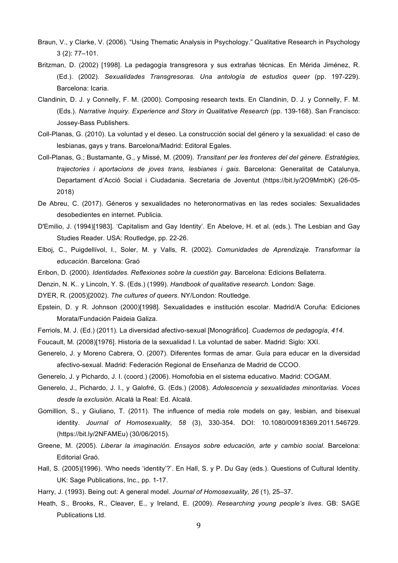- Braun, V., y Clarke, V. (2006). "Using Thematic Analysis in Psychology." Qualitative Research in Psychology 3 (2): 77–101.
- Britzman, D. (2002) [1998]. La pedagogía transgresora y sus extrañas técnicas. En Mérida Jiménez, R. (Ed.). (2002). *Sexualidades Transgresoras. Una antología de estudios queer* (pp. 197-229). Barcelona: Icaria.
- Clandinin, D. J. y Connelly, F. M. (2000). Composing research texts. En Clandinin, D. J. y Connelly, F. M. (Eds.). *Narrative Inquiry. Experience and Story in Qualitative Research* (pp. 139-168). San Francisco: Jossey-Bass Publishers.
- Coll-Planas, G. (2010). La voluntad y el deseo. La construcción social del género y la sexualidad: el caso de lesbianas, gays y trans. Barcelona/Madrid: Editoral Egales.
- Coll-Planas, G.; Bustamante, G., y Missé, M. (2009). *Transitant per les fronteres del del gènere. Estratègies, trajectories i aportacions de joves trans, lesbianes i gais*. Barcelona: Generalitat de Catalunya, Departament d'Acció Social i Ciudadania. Secretaria de Joventut (https://bit.ly/2O9MmbK) (26-05- 2018)
- De Abreu, C. (2017). Géneros y sexualidades no heteronormativas en las redes sociales: Sexualidades desobedientes en internet. Publicia.
- D'Emilio, J. (1994)[1983]. 'Capitalism and Gay Identity'. En Abelove, H. et al. (eds.). The Lesbian and Gay Studies Reader. USA: Routledge, pp. 22-26.
- Elboj, C., Puigdellívol, I., Soler, M. y Valls, R. (2002). *Comunidades de Aprendizaje. Transformar la educación*. Barcelona: Graó
- Eribon, D. (2000). *Identidades. Reflexiones sobre la cuestión gay*. Barcelona: Edicions Bellaterra.
- Denzin, N. K.. y Lincoln, Y. S. (Eds.) (1999). *Handbook of qualitative research*. London: Sage.
- DYER, R. (2005)[2002). *The cultures of queers*. NY/London: Routledge.
- Epstein, D. y R. Johnson (2000)[1998]. Sexualidades e institución escolar. Madrid/A Coruña: Ediciones Morata/Fundación Paideia Galiza.
- Ferriols, M. J. (Ed.) (2011). La diversidad afectivo-sexual [Monográfico]. *Cuadernos de pedagogía*, *414*.
- Foucault, M. (2008)[1976]. Historia de la sexualidad I. La voluntad de saber. Madrid: Siglo: XXI.
- Generelo, J. y Moreno Cabrera, O. (2007). Diferentes formas de amar. Guía para educar en la diversidad afectivo-sexual. Madrid: Federación Regional de Enseñanza de Madrid de CCOO.
- Generelo, J. y Pichardo, J. I. (coord.) (2006). Homofobia en el sistema educativo. Madrid: COGAM.
- Generelo, J., Pichardo, J. I., y Galofré, G. (Eds.) (2008). *Adolescencia y sexualidades minoritarias. Voces desde la exclusión*. Alcalá la Real: Ed. Alcalá.
- Gomillion, S., y Giuliano, T. (2011). The influence of media role models on gay, lesbian, and bisexual identity. *Journal of Homosexuality, 58* (3), 330-354. DOI: 10.1080/00918369.2011.546729. (https://bit.ly/2NFAMEu) (30/06/2015).
- Greene, M. (2005). *Liberar la imaginación. Ensayos sobre educación, arte y cambio social*. Barcelona: Editorial Graó.
- Hall, S. (2005)[1996). 'Who needs 'identity'?'. En Hall, S. y P. Du Gay (eds.). Questions of Cultural Identity. UK: Sage Publications, Inc., pp. 1-17.
- Harry, J. (1993). Being out: A general model. *Journal of Homosexuality, 26* (1), 25–37.
- Heath, S., Brooks, R., Cleaver, E., y Ireland, E. (2009). *Researching young people's lives*. GB: SAGE Publications Ltd.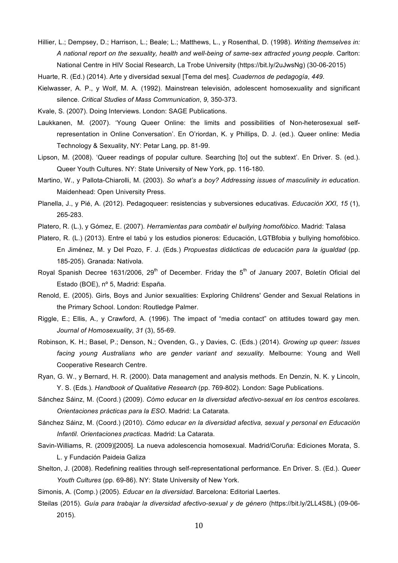Hillier, L.; Dempsey, D.; Harrison, L.; Beale; L.; Matthews, L., y Rosenthal, D. (1998). *Writing themselves in: A national report on the sexuality, health and well-being of same-sex attracted young people*. Carlton: National Centre in HIV Social Research, La Trobe University (https://bit.ly/2uJwsNg) (30-06-2015)

Huarte, R. (Ed.) (2014). Arte y diversidad sexual [Tema del mes]. *Cuadernos de pedagogía*, *449*.

Kielwasser, A. P., y Wolf, M. A. (1992). Mainstrean televisión, adolescent homosexuality and significant silence. *Critical Studies of Mass Communication*, *9,* 350-373.

Kvale, S. (2007). Doing Interviews. London: SAGE Publications.

Laukkanen, M. (2007). 'Young Queer Online: the limits and possibilities of Non-heterosexual selfrepresentation in Online Conversation'. En O'riordan, K. y Phillips, D. J. (ed.). Queer online: Media Technology & Sexuality, NY: Petar Lang, pp. 81-99.

Lipson, M. (2008). 'Queer readings of popular culture. Searching [to] out the subtext'. En Driver. S. (ed.). Queer Youth Cultures. NY: State University of New York, pp. 116-180.

- Martino, W., y Pallota-Chiarolli, M. (2003). *So what's a boy? Addressing issues of masculinity in education*. Maidenhead: Open University Press.
- Planella, J., y Pié, A. (2012). Pedagoqueer: resistencias y subversiones educativas. *Educación XXI*, *15* (1), 265-283.
- Platero, R. (L.), y Gómez, E. (2007). *Herramientas para combatir el bullying homofóbico*. Madrid: Talasa
- Platero, R. (L.) (2013). Entre el tabú y los estudios pioneros: Educación, LGTBfobia y bullying homofóbico. En Jiménez, M. y Del Pozo, F. J. (Eds.) *Propuestas didácticas de educación para la igualdad* (pp. 185-205). Granada: Natívola.
- Royal Spanish Decree 1631/2006, 29<sup>th</sup> of December. Friday the 5<sup>th</sup> of January 2007, Boletín Oficial del Estado (BOE), nº 5, Madrid: España.
- Renold, E. (2005). Girls, Boys and Junior sexualities: Exploring Childrens' Gender and Sexual Relations in the Primary School. London: Routledge Palmer.
- Riggle, E.; Ellis, A*.,* y Crawford, A. (1996). The impact of "media contact" on attitudes toward gay men*. Journal of Homosexuality*, *31* (3), 55-69.
- Robinson, K. H.; Basel, P.; Denson, N.; Ovenden, G., y Davies, C. (Eds.) (2014). *Growing up queer: Issues facing young Australians who are gender variant and sexuality.* Melbourne: Young and Well Cooperative Research Centre.
- Ryan, G. W., y Bernard, H. R. (2000). Data management and analysis methods. En Denzin, N. K. y Lincoln, Y. S. (Eds.). *Handbook of Qualitative Research* (pp. 769-802). London: Sage Publications.
- Sánchez Sáinz, M. (Coord.) (2009). *Cómo educar en la diversidad afectivo-sexual en los centros escolares. Orientaciones prácticas para la ESO*. Madrid: La Catarata.
- Sánchez Sáinz, M. (Coord.) (2010). *Cómo educar en la diversidad afectiva, sexual y personal en Educación Infantil. Orientaciones practicas.* Madrid: La Catarata.
- Savin-Williams, R. (2009)[2005]. La nueva adolescencia homosexual. Madrid/Coruña: Ediciones Morata, S. L. y Fundación Paideia Galiza
- Shelton, J. (2008). Redefining realities through self-representational performance. En Driver. S. (Ed.). *Queer Youth Cultures* (pp. 69-86). NY: State University of New York.
- Simonis, A. (Comp.) (2005). *Educar en la diversidad*. Barcelona: Editorial Laertes.
- Steilas (2015). *Guía para trabajar la diversidad afectivo-sexual y de género* (https://bit.ly/2LL4S8L) (09-06- 2015).